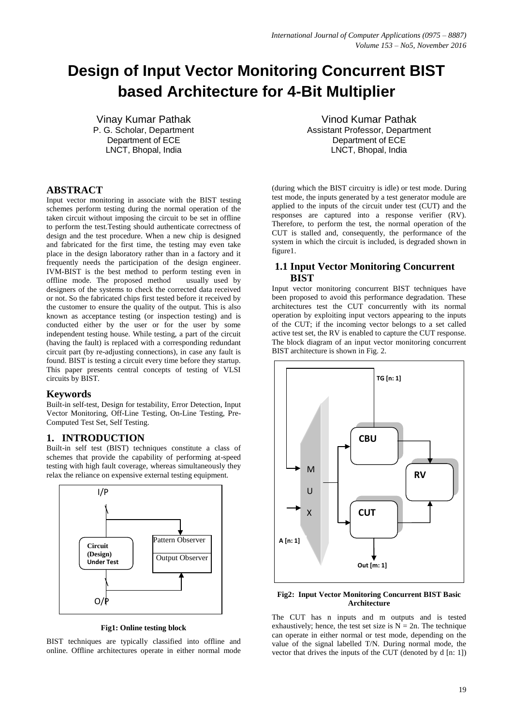# **Design of Input Vector Monitoring Concurrent BIST based Architecture for 4-Bit Multiplier**

Vinay Kumar Pathak P. G. Scholar, Department Department of ECE LNCT, Bhopal, India

#### **ABSTRACT**

Input vector monitoring in associate with the BIST testing schemes perform testing during the normal operation of the taken circuit without imposing the circuit to be set in offline to perform the test.Testing should authenticate correctness of design and the test procedure. When a new chip is designed and fabricated for the first time, the testing may even take place in the design laboratory rather than in a factory and it frequently needs the participation of the design engineer. IVM-BIST is the best method to perform testing even in offline mode. The proposed method usually used by designers of the systems to check the corrected data received or not. So the fabricated chips first tested before it received by the customer to ensure the quality of the output. This is also known as acceptance testing (or inspection testing) and is conducted either by the user or for the user by some independent testing house. While testing, a part of the circuit (having the fault) is replaced with a corresponding redundant circuit part (by re-adjusting connections), in case any fault is found. BIST is testing a circuit every time before they startup. This paper presents central concepts of testing of VLSI circuits by BIST.

#### **Keywords**

Built-in self-test, Design for testability, Error Detection, Input Vector Monitoring, Off-Line Testing, On-Line Testing, Pre-Computed Test Set, Self Testing.

## **1. INTRODUCTION**

Built-in self test (BIST) techniques constitute a class of schemes that provide the capability of performing at-speed testing with high fault coverage, whereas simultaneously they relax the reliance on expensive external testing equipment.



**Fig1: Online testing block**

BIST techniques are typically classified into offline and online. Offline architectures operate in either normal mode

Vinod Kumar Pathak Assistant Professor, Department Department of ECE LNCT, Bhopal, India

(during which the BIST circuitry is idle) or test mode. During test mode, the inputs generated by a test generator module are applied to the inputs of the circuit under test (CUT) and the responses are captured into a response verifier (RV). Therefore, to perform the test, the normal operation of the CUT is stalled and, consequently, the performance of the system in which the circuit is included, is degraded shown in figure1.

#### **1.1 Input Vector Monitoring Concurrent BIST**

Input vector monitoring concurrent BIST techniques have been proposed to avoid this performance degradation. These architectures test the CUT concurrently with its normal operation by exploiting input vectors appearing to the inputs of the CUT; if the incoming vector belongs to a set called active test set, the RV is enabled to capture the CUT response. The block diagram of an input vector monitoring concurrent BIST architecture is shown in Fig. 2.



#### **Fig2: Input Vector Monitoring Concurrent BIST Basic Architecture**

The CUT has n inputs and m outputs and is tested exhaustively; hence, the test set size is  $N = 2n$ . The technique can operate in either normal or test mode, depending on the value of the signal labelled T/N. During normal mode, the vector that drives the inputs of the CUT (denoted by d [n: 1])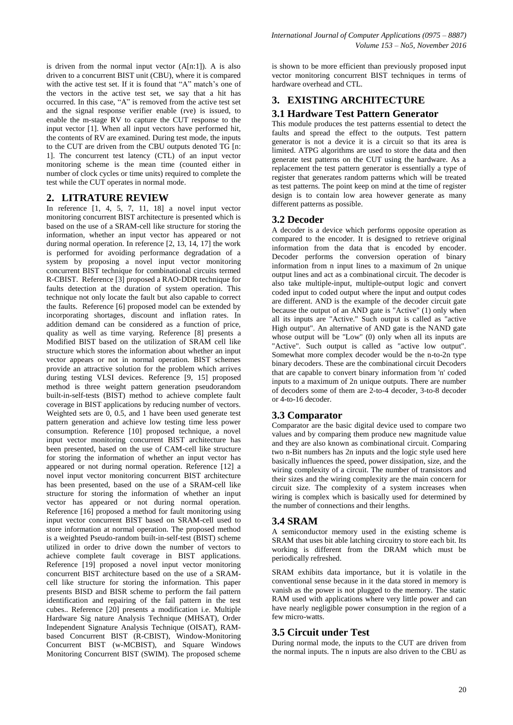is driven from the normal input vector  $(A[n:1])$ . A is also driven to a concurrent BIST unit (CBU), where it is compared with the active test set. If it is found that "A" match's one of the vectors in the active test set, we say that a hit has occurred. In this case, "A" is removed from the active test set and the signal response verifier enable (rve) is issued, to enable the m-stage RV to capture the CUT response to the input vector [1]. When all input vectors have performed hit, the contents of RV are examined. During test mode, the inputs to the CUT are driven from the CBU outputs denoted TG [n: 1]. The concurrent test latency (CTL) of an input vector monitoring scheme is the mean time (counted either in number of clock cycles or time units) required to complete the test while the CUT operates in normal mode.

## **2. LITRATURE REVIEW**

In reference [1, 4, 5, 7, 11, 18] a novel input vector monitoring concurrent BIST architecture is presented which is based on the use of a SRAM-cell like structure for storing the information, whether an input vector has appeared or not during normal operation. In reference [2, 13, 14, 17] the work is performed for avoiding performance degradation of a system by proposing a novel input vector monitoring concurrent BIST technique for combinational circuits termed R-CBIST. Reference [3] proposed a RAO-DDR technique for faults detection at the duration of system operation. This technique not only locate the fault but also capable to correct the faults. Reference [6] proposed model can be extended by incorporating shortages, discount and inflation rates. In addition demand can be considered as a function of price, quality as well as time varying. Reference [8] presents a Modified BIST based on the utilization of SRAM cell like structure which stores the information about whether an input vector appears or not in normal operation. BIST schemes provide an attractive solution for the problem which arrives during testing VLSI devices. Reference [9, 15] proposed method is three weight pattern generation pseudorandom built-in-self-tests (BIST) method to achieve complete fault coverage in BIST applications by reducing number of vectors. Weighted sets are  $0, 0.5$ , and 1 have been used generate test pattern generation and achieve low testing time less power consumption. Reference [10] proposed technique, a novel input vector monitoring concurrent BIST architecture has been presented, based on the use of CAM-cell like structure for storing the information of whether an input vector has appeared or not during normal operation. Reference [12] a novel input vector monitoring concurrent BIST architecture has been presented, based on the use of a SRAM-cell like structure for storing the information of whether an input vector has appeared or not during normal operation. Reference [16] proposed a method for fault monitoring using input vector concurrent BIST based on SRAM-cell used to store information at normal operation. The proposed method is a weighted Pseudo-random built-in-self-test (BIST) scheme utilized in order to drive down the number of vectors to achieve complete fault coverage in BIST applications. Reference [19] proposed a novel input vector monitoring concurrent BIST architecture based on the use of a SRAMcell like structure for storing the information. This paper presents BISD and BISR scheme to perform the fail pattern identification and repairing of the fail pattern in the test cubes.. Reference [20] presents a modification i.e. Multiple Hardware Sig nature Analysis Technique (MHSAT), Order Independent Signature Analysis Technique (OISAT), RAMbased Concurrent BIST (R-CBIST), Window-Monitoring Concurrent BIST (w-MCBIST), and Square Windows Monitoring Concurrent BIST (SWIM). The proposed scheme

is shown to be more efficient than previously proposed input vector monitoring concurrent BIST techniques in terms of hardware overhead and CTL.

# **3. EXISTING ARCHITECTURE**

## **3.1 Hardware Test Pattern Generator**

This module produces the test patterns essential to detect the faults and spread the effect to the outputs. Test pattern generator is not a device it is a circuit so that its area is limited. ATPG algorithms are used to store the data and then generate test patterns on the CUT using the hardware. As a replacement the test pattern generator is essentially a type of register that generates random patterns which will be treated as test patterns. The point keep on mind at the time of register design is to contain low area however generate as many different patterns as possible.

# **3.2 Decoder**

A decoder is a device which performs opposite operation as compared to the encoder. It is designed to retrieve original information from the data that is encoded by encoder. Decoder performs the conversion operation of binary information from n input lines to a maximum of 2n unique output lines and act as a combinational circuit. The decoder is also take multiple-input, multiple-output logic and convert coded input to coded output where the input and output codes are different. AND is the example of the decoder circuit gate because the output of an AND gate is "Active" (1) only when all its inputs are "Active." Such output is called as "active High output". An alternative of AND gate is the NAND gate whose output will be "Low" (0) only when all its inputs are "Active". Such output is called as "active low output". Somewhat more complex decoder would be the n-to-2n type binary decoders. These are the combinational circuit Decoders that are capable to convert binary information from 'n' coded inputs to a maximum of 2n unique outputs. There are number of decoders some of them are 2-to-4 decoder, 3-to-8 decoder or 4-to-16 decoder.

# **3.3 Comparator**

Comparator are the basic digital device used to compare two values and by comparing them produce new magnitude value and they are also known as combinational circuit. Comparing two n-Bit numbers has 2n inputs and the logic style used here basically influences the speed, power dissipation, size, and the wiring complexity of a circuit. The number of transistors and their sizes and the wiring complexity are the main concern for circuit size. The complexity of a system increases when wiring is complex which is basically used for determined by the number of connections and their lengths.

# **3.4 SRAM**

A semiconductor memory used in the existing scheme is SRAM that uses bit able latching circuitry to store each bit. Its working is different from the DRAM which must be periodically refreshed.

SRAM exhibits data importance, but it is volatile in the conventional sense because in it the data stored in memory is vanish as the power is not plugged to the memory. The static RAM used with applications where very little power and can have nearly negligible power consumption in the region of a few micro-watts.

# **3.5 Circuit under Test**

During normal mode, the inputs to the CUT are driven from the normal inputs. The n inputs are also driven to the CBU as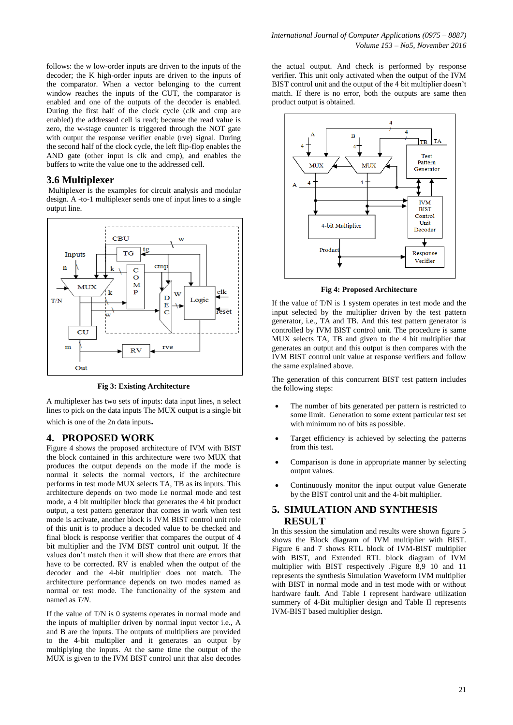follows: the w low-order inputs are driven to the inputs of the decoder; the K high-order inputs are driven to the inputs of the comparator. When a vector belonging to the current window reaches the inputs of the CUT, the comparator is enabled and one of the outputs of the decoder is enabled. During the first half of the clock cycle (*clk* and cmp are enabled) the addressed cell is read; because the read value is zero, the w-stage counter is triggered through the NOT gate with output the response verifier enable (rve) signal. During the second half of the clock cycle, the left flip-flop enables the AND gate (other input is clk and cmp), and enables the buffers to write the value one to the addressed cell.

#### **3.6 Multiplexer**

Multiplexer is the examples for circuit analysis and modular design. A -to-1 multiplexer sends one of input lines to a single output line.



**Fig 3: Existing Architecture**

A multiplexer has two sets of inputs: data input lines, n select lines to pick on the data inputs The MUX output is a single bit which is one of the 2n data inputs.

#### **4. PROPOSED WORK**

Figure 4 shows the proposed architecture of IVM with BIST the block contained in this architecture were two MUX that produces the output depends on the mode if the mode is normal it selects the normal vectors, if the architecture performs in test mode MUX selects TA, TB as its inputs. This architecture depends on two mode i.e normal mode and test mode, a 4 bit multiplier block that generates the 4 bit product output, a test pattern generator that comes in work when test mode is activate, another block is IVM BIST control unit role of this unit is to produce a decoded value to be checked and final block is response verifier that compares the output of 4 bit multiplier and the IVM BIST control unit output. If the values don"t match then it will show that there are errors that have to be corrected. RV is enabled when the output of the decoder and the 4-bit multiplier does not match. The architecture performance depends on two modes named as normal or test mode. The functionality of the system and named as *T/N*.

If the value of T/N is 0 systems operates in normal mode and the inputs of multiplier driven by normal input vector i.e., A and B are the inputs. The outputs of multipliers are provided to the 4-bit multiplier and it generates an output by multiplying the inputs. At the same time the output of the MUX is given to the IVM BIST control unit that also decodes

the actual output. And check is performed by response verifier. This unit only activated when the output of the IVM BIST control unit and the output of the 4 bit multiplier doesn"t match. If there is no error, both the outputs are same then product output is obtained.



**Fig 4: Proposed Architecture**

If the value of T/N is 1 system operates in test mode and the input selected by the multiplier driven by the test pattern generator, i.e., TA and TB. And this test pattern generator is controlled by IVM BIST control unit. The procedure is same MUX selects TA, TB and given to the 4 bit multiplier that generates an output and this output is then compares with the IVM BIST control unit value at response verifiers and follow the same explained above.

The generation of this concurrent BIST test pattern includes the following steps:

- The number of bits generated per pattern is restricted to some limit. Generation to some extent particular test set with minimum no of bits as possible.
- Target efficiency is achieved by selecting the patterns from this test.
- Comparison is done in appropriate manner by selecting output values.
- Continuously monitor the input output value Generate by the BIST control unit and the 4-bit multiplier.

#### **5. SIMULATION AND SYNTHESIS RESULT**

In this session the simulation and results were shown figure 5 shows the Block diagram of IVM multiplier with BIST. Figure 6 and 7 shows RTL block of IVM-BIST multiplier with BIST, and Extended RTL block diagram of IVM multiplier with BIST respectively .Figure 8,9 10 and 11 represents the synthesis Simulation Waveform IVM multiplier with BIST in normal mode and in test mode with or without hardware fault. And Table I represent hardware utilization summery of 4-Bit multiplier design and Table II represents IVM-BIST based multiplier design.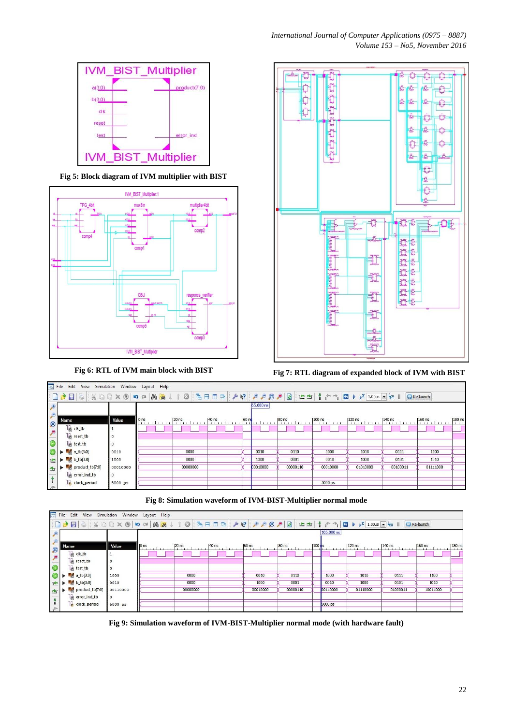

**Fig 5: Block diagram of IVM multiplier with BIST**





**Fig 6: RTL of IVM main block with BIST Fig 7: RTL diagram of expanded block of IVM with BIST**

|                             | am File<br>Edit View Simulation Window Layout Help |          |                  |          |       |                 |           |          |           |                    |           |          |        |
|-----------------------------|----------------------------------------------------|----------|------------------|----------|-------|-----------------|-----------|----------|-----------|--------------------|-----------|----------|--------|
|                             |                                                    |          |                  |          |       |                 |           |          |           |                    |           |          |        |
| $\mathbf{F}$                |                                                    |          |                  |          |       |                 | 65.000 ns |          |           |                    |           |          |        |
| $\epsilon$                  |                                                    |          |                  |          |       |                 |           |          |           |                    |           |          |        |
|                             | Name                                               | Value    | $ 0 \text{ ns} $ | $20$ ns  | 40 ns | 60 <sub>n</sub> |           | $ 80$ ns | $ 100$ ns | $ 120 \text{ ns} $ | $ 140$ ns | $160$ ns | 180 ns |
| $\frac{1}{2}$               | clk_tb                                             |          |                  |          |       |                 |           |          |           |                    |           |          |        |
|                             | le reset_tb                                        |          |                  |          |       |                 |           |          |           |                    |           |          |        |
|                             | lest_tb                                            |          |                  |          |       |                 |           |          |           |                    |           |          |        |
| $\circ$                     | $a$ <sub>1</sub> tb[3:0]                           | 0010     |                  | 0000     |       |                 | 0010      | 0110     | 1000      | 1010               | 0111      | 1100     |        |
|                             | $\left  \bullet \right $ b tb[3:0]                 | 1000     |                  | 0000     |       |                 | 1000      | 0001     | 0010      | 1000               | 0101      | 1010     |        |
| $\frac{1}{2}$               | product_tb[7:0]                                    | 00010000 |                  | 00000000 |       |                 | 00010000  | 00000110 | 00010000  | 01010000           | 00100011  | 01111000 |        |
|                             | error_ind_tb                                       | $\circ$  |                  |          |       |                 |           |          |           |                    |           |          |        |
| $\Rightarrow = \mathcal{L}$ | Le clock_period                                    | 5000 ps  |                  |          |       |                 |           |          | 5000 ps   |                    |           |          |        |
|                             |                                                    |          |                  |          |       |                 |           |          |           |                    |           |          |        |

**Fig 8: Simulation waveform of IVM-BIST-Multiplier normal mode**

|               | File Edit View Simulation Window Layout Help   |          |                                                                                         |                  |                  |          |          |          |            |          |          |          |        |
|---------------|------------------------------------------------|----------|-----------------------------------------------------------------------------------------|------------------|------------------|----------|----------|----------|------------|----------|----------|----------|--------|
|               |                                                |          |                                                                                         |                  |                  |          |          |          |            |          |          |          |        |
|               |                                                |          |                                                                                         |                  |                  |          |          |          | 105.000 ns |          |          |          |        |
| ø             | Name                                           | Value    | $\left  \begin{array}{cccc} 0 & \text{ns} \\ \text{ns} & \text{ns} \end{array} \right $ | $ 20 \text{ ns}$ | $ 40 \text{ ns}$ | $60$ ns  | 80 ns    | $100$ ns |            | $120$ ns | 140 ns   | 160 ns   | 180 ns |
|               | le clk_tb                                      |          |                                                                                         |                  |                  |          |          |          |            |          |          |          |        |
|               | le reset_tb                                    | $\circ$  |                                                                                         |                  |                  |          |          |          |            |          |          |          |        |
|               | le test_tb                                     | $\circ$  |                                                                                         |                  |                  |          |          |          |            |          |          |          |        |
|               | $\blacktriangleright$ $\blacksquare$ a_tb[3:0] | 1000     |                                                                                         | 0000             |                  | 0010     | 0110     |          | 1000       | 1010     | 0111     | 1100     |        |
|               | $\mathbf{b} = \mathbf{b}$                      | 0010     |                                                                                         | 0000             |                  | 1000     | 0001     |          | 0010       | 1000     | 0101     | 1010     |        |
| $\Rightarrow$ | product_tb[7:0]                                | 00110000 |                                                                                         | 00000000         |                  | 00010000 | 00000110 |          | 00110000   | 01110000 | 01000011 | 10011000 |        |
|               | le error_ind_tb                                | $\circ$  |                                                                                         |                  |                  |          |          |          |            |          |          |          |        |
| $\rightarrow$ | <b>Le</b> clock_period                         | 5000 ps  |                                                                                         |                  |                  |          |          |          | 5000 ps    |          |          |          |        |

**Fig 9: Simulation waveform of IVM-BIST-Multiplier normal mode (with hardware fault)**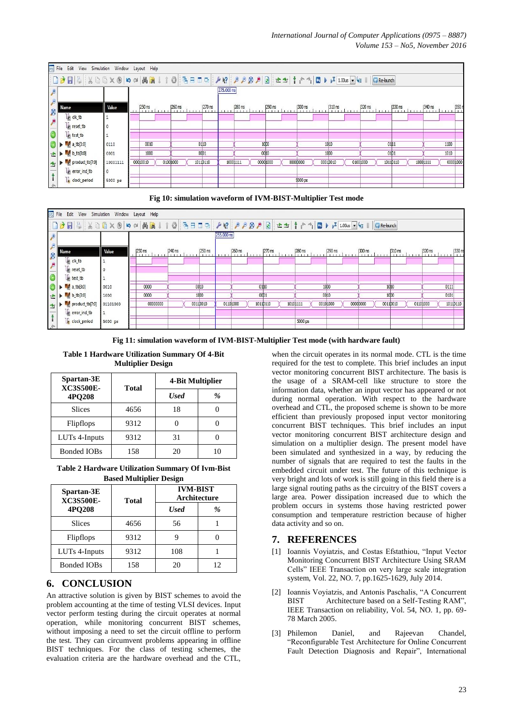|               | File Edit View Simulation Window Layout Help |          |  |                   |          |        |                  |        |            |                                |          |        |          |         |                 |                  |          |                  |          |          |      |           |
|---------------|----------------------------------------------|----------|--|-------------------|----------|--------|------------------|--------|------------|--------------------------------|----------|--------|----------|---------|-----------------|------------------|----------|------------------|----------|----------|------|-----------|
|               |                                              |          |  |                   |          |        |                  |        |            |                                |          |        |          |         |                 |                  |          |                  |          |          |      |           |
|               |                                              |          |  |                   |          |        |                  |        | 275.000 ns |                                |          |        |          |         |                 |                  |          |                  |          |          |      |           |
| $\beta$       | Name                                         | Value    |  | 250 ns<br>1.1.1.1 |          | 260 ns |                  | 270 ns |            | $\left  \frac{280}{1} \right $ |          | 290 ns |          | 300 ns  |                 | $310 \text{ ns}$ |          | $320 \text{ ns}$ | 330 ns   | 340 ns   |      | 350 r     |
|               | e clk_tb                                     |          |  |                   |          |        |                  |        |            |                                |          |        |          |         |                 |                  |          |                  |          |          |      |           |
| $\frac{1}{2}$ | le reset_tb                                  | 10       |  |                   |          |        |                  |        |            |                                |          |        |          |         |                 |                  |          |                  |          |          |      |           |
|               | test_tb                                      |          |  |                   |          |        |                  |        |            |                                |          |        |          |         |                 |                  |          |                  |          |          |      |           |
|               | $\epsilon$ a_tb[3:0]                         | 0110     |  | 0010              |          |        | 0110             |        |            |                                | 1000     |        |          |         | 1010            |                  |          |                  | 011      |          | 1100 |           |
| ☆▶            | $b$ <sub>c</sub> $b$ <sub>5:0</sub> ]        | 0001     |  | 1000              |          |        | 00 <sub>D1</sub> |        |            |                                | 00 10    |        |          |         | 10 <sub>0</sub> |                  |          |                  | 01D      |          | 1010 |           |
| 中             | product_tb[7:0]                              | 10001111 |  | 000 100 10        | 01001000 |        | 1011D110         |        | 10001111   |                                | 00001000 |        | 00000000 |         | 0001D010        |                  | 0100 100 |                  | 1011D110 | 10001111 |      | 0000 1000 |
|               | error_ind_tb                                 | 0        |  |                   |          |        |                  |        |            |                                |          |        |          |         |                 |                  |          |                  |          |          |      |           |
| $\rightarrow$ | le clock_period                              | 5000 ps  |  |                   |          |        |                  |        |            |                                |          |        |          | 5000 ps |                 |                  |          |                  |          |          |      |           |





**Fig 11: simulation waveform of IVM-BIST-Multiplier Test mode (with hardware fault)**

**Table 1 Hardware Utilization Summary Of 4-Bit Multiplier Design**

| Spartan-3E<br><b>XC3S500E-</b> |       | 4-Bit Multiplier |   |  |  |
|--------------------------------|-------|------------------|---|--|--|
| 4PO208                         | Total | <b>Used</b>      | % |  |  |
| <b>Slices</b>                  | 4656  | 18               |   |  |  |
| Flipflops                      | 9312  |                  |   |  |  |
| LUTs 4-Inputs                  | 9312  | 31               |   |  |  |
| <b>Bonded IOBs</b>             | 158   | 20               |   |  |  |

**Table 2 Hardware Utilization Summary Of Ivm-Bist Based Multiplier Design**

| Spartan-3E<br><b>XC3S500E-</b> | Total | <b>IVM-BIST</b><br>Architecture |    |  |  |  |  |  |  |  |
|--------------------------------|-------|---------------------------------|----|--|--|--|--|--|--|--|
| 4PO208                         |       | <b>Used</b>                     | %  |  |  |  |  |  |  |  |
| <b>Slices</b>                  | 4656  | 56                              |    |  |  |  |  |  |  |  |
| Flipflops                      | 9312  | g                               |    |  |  |  |  |  |  |  |
| LUTs 4-Inputs                  | 9312  | 108                             |    |  |  |  |  |  |  |  |
| <b>Bonded IOBs</b>             | 158   | 20                              | 12 |  |  |  |  |  |  |  |

# **6. CONCLUSION**

An attractive solution is given by BIST schemes to avoid the problem accounting at the time of testing VLSI devices. Input vector perform testing during the circuit operates at normal operation, while monitoring concurrent BIST schemes, without imposing a need to set the circuit offline to perform the test. They can circumvent problems appearing in offline BIST techniques. For the class of testing schemes, the evaluation criteria are the hardware overhead and the CTL,

when the circuit operates in its normal mode. CTL is the time required for the test to complete. This brief includes an input vector monitoring concurrent BIST architecture. The basis is the usage of a SRAM-cell like structure to store the information data, whether an input vector has appeared or not during normal operation. With respect to the hardware overhead and CTL, the proposed scheme is shown to be more efficient than previously proposed input vector monitoring concurrent BIST techniques. This brief includes an input vector monitoring concurrent BIST architecture design and simulation on a multiplier design. The present model have been simulated and synthesized in a way, by reducing the number of signals that are required to test the faults in the embedded circuit under test. The future of this technique is very bright and lots of work is still going in this field there is a large signal routing paths as the circuitry of the BIST covers a large area. Power dissipation increased due to which the problem occurs in systems those having restricted power consumption and temperature restriction because of higher data activity and so on.

## **7. REFERENCES**

- [1] Ioannis Voyiatzis, and Costas Efstathiou, "Input Vector Monitoring Concurrent BIST Architecture Using SRAM Cells" IEEE Transaction on very large scale integration system, Vol. 22, NO. 7, pp.1625-1629, July 2014.
- [2] Ioannis Voyiatzis, and Antonis Paschalis, "A Concurrent BIST Architecture based on a Self-Testing RAM", IEEE Transaction on reliability, Vol. 54, NO. 1, pp. 69- 78 March 2005.
- [3] Philemon Daniel, and Rajeevan Chandel, "Reconfigurable Test Architecture for Online Concurrent Fault Detection Diagnosis and Repair", International